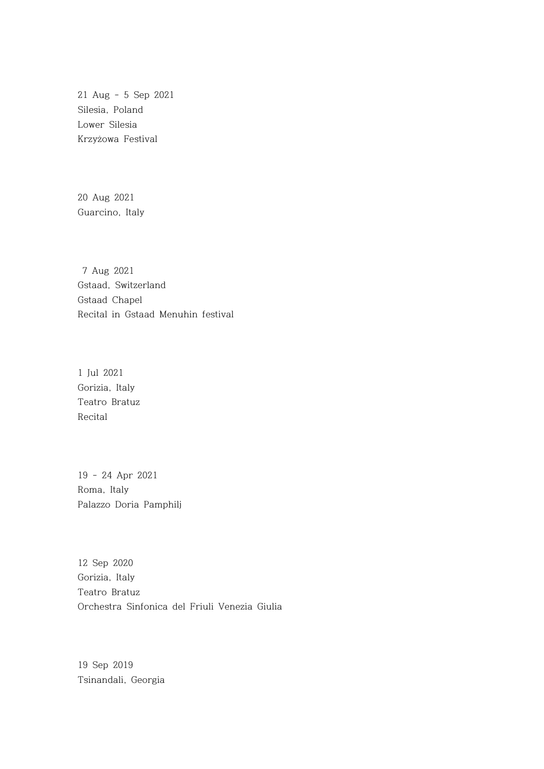21 Aug - 5 Sep 2021 Silesia, Poland Lower Silesia Krzyżowa Festival

20 Aug 2021 Guarcino, Italy

7 Aug 2021 Gstaad, Switzerland Gstaad Chapel Recital in Gstaad Menuhin festival

1 Jul 2021 Gorizia, Italy Teatro Bratuz Recital

19 - 24 Apr 2021 Roma, Italy Palazzo Doria Pamphilj

12 Sep 2020 Gorizia, Italy Teatro Bratuz Orchestra Sinfonica del Friuli Venezia Giulia

19 Sep 2019 Tsinandali, Georgia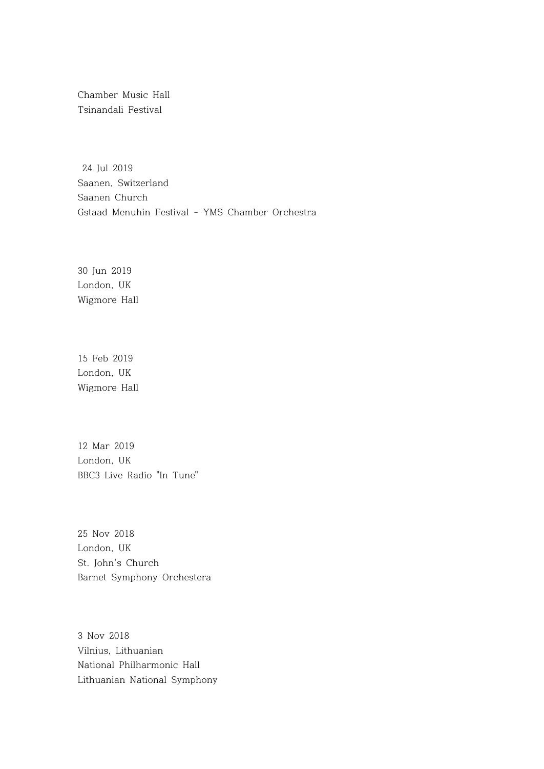Chamber Music Hall Tsinandali Festival

24 Jul 2019 Saanen, Switzerland Saanen Church Gstaad Menuhin Festival - YMS Chamber Orchestra

30 Jun 2019 London, UK Wigmore Hall

15 Feb 2019 London, UK Wigmore Hall

12 Mar 2019 London, UK BBC3 Live Radio "In Tune"

25 Nov 2018 London, UK St. John's Church Barnet Symphony Orchestera

3 Nov 2018 Vilnius, Lithuanian National Philharmonic Hall Lithuanian National Symphony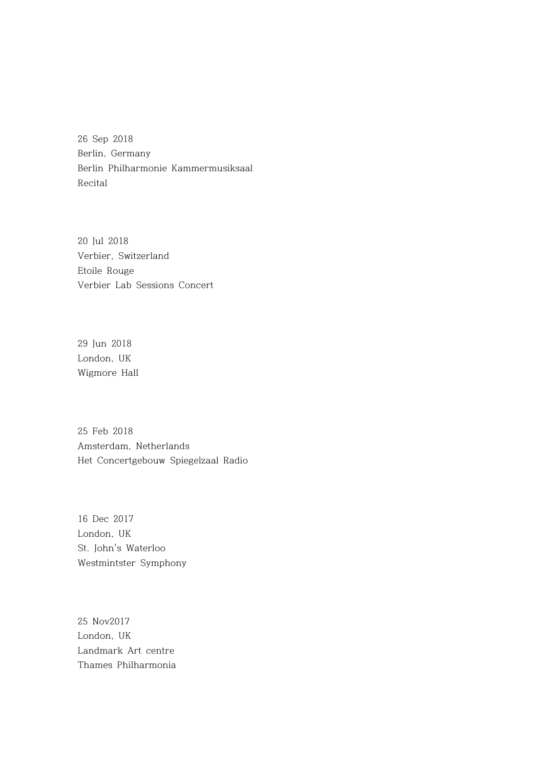26 Sep 2018 Berlin, Germany Berlin Philharmonie Kammermusiksaal Recital

20 Jul 2018 Verbier, Switzerland Etoile Rouge Verbier Lab Sessions Concert

29 Jun 2018 London, UK Wigmore Hall

25 Feb 2018 Amsterdam, Netherlands Het Concertgebouw Spiegelzaal Radio

16 Dec 2017 London, UK St. John's Waterloo Westmintster Symphony

25 Nov2017 London, UK Landmark Art centre Thames Philharmonia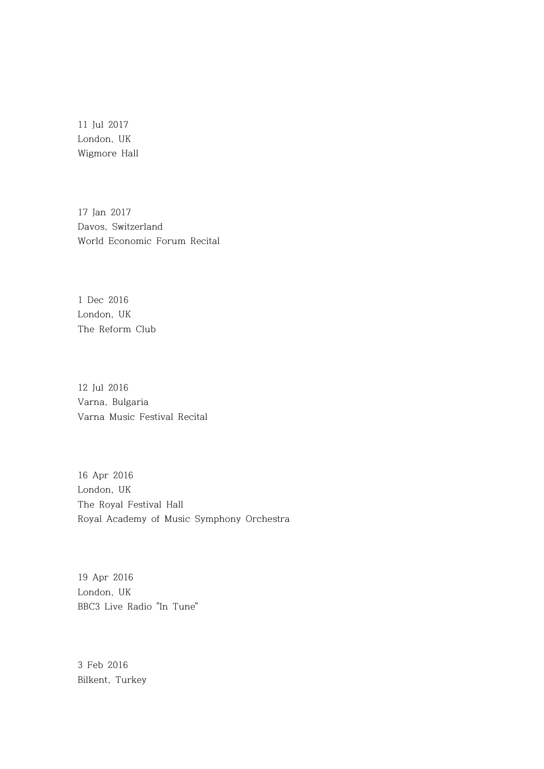11 Jul 2017 London, UK Wigmore Hall

17 Jan 2017 Davos, Switzerland World Economic Forum Recital

1 Dec 2016 London, UK The Reform Club

12 Jul 2016 Varna, Bulgaria Varna Music Festival Recital

16 Apr 2016 London, UK The Royal Festival Hall Royal Academy of Music Symphony Orchestra

19 Apr 2016 London, UK BBC3 Live Radio "In Tune"

3 Feb 2016 Bilkent, Turkey